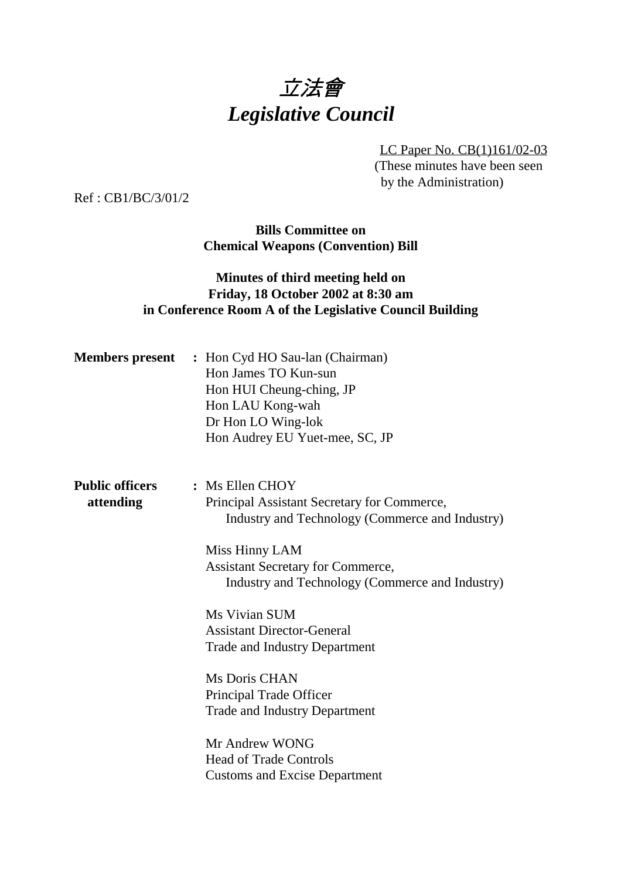# 立法會 *Legislative Council*

LC Paper No. CB(1)161/02-03 (These minutes have been seen by the Administration)

Ref : CB1/BC/3/01/2

**Bills Committee on Chemical Weapons (Convention) Bill**

### **Minutes of third meeting held on Friday, 18 October 2002 at 8:30 am in Conference Room A of the Legislative Council Building**

|                        | <b>Members present</b> : Hon Cyd HO Sau-lan (Chairman)<br>Hon James TO Kun-sun<br>Hon HUI Cheung-ching, JP<br>Hon LAU Kong-wah<br>Dr Hon LO Wing-lok<br>Hon Audrey EU Yuet-mee, SC, JP |
|------------------------|----------------------------------------------------------------------------------------------------------------------------------------------------------------------------------------|
| <b>Public officers</b> | : Ms Ellen CHOY                                                                                                                                                                        |
| attending              | Principal Assistant Secretary for Commerce,<br>Industry and Technology (Commerce and Industry)                                                                                         |
|                        | Miss Hinny LAM                                                                                                                                                                         |
|                        | <b>Assistant Secretary for Commerce,</b>                                                                                                                                               |
|                        | Industry and Technology (Commerce and Industry)                                                                                                                                        |
|                        | Ms Vivian SUM                                                                                                                                                                          |
|                        | <b>Assistant Director-General</b>                                                                                                                                                      |
|                        | <b>Trade and Industry Department</b>                                                                                                                                                   |
|                        | Ms Doris CHAN                                                                                                                                                                          |
|                        | Principal Trade Officer                                                                                                                                                                |
|                        | <b>Trade and Industry Department</b>                                                                                                                                                   |
|                        | Mr Andrew WONG                                                                                                                                                                         |
|                        | <b>Head of Trade Controls</b>                                                                                                                                                          |
|                        | <b>Customs and Excise Department</b>                                                                                                                                                   |
|                        |                                                                                                                                                                                        |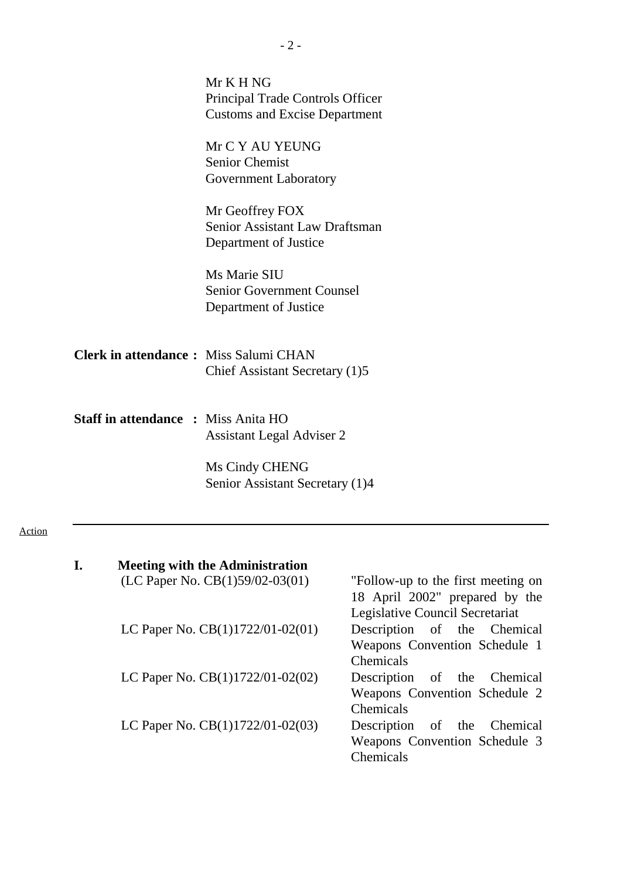|                                              | Mr K H NG<br>Principal Trade Controls Officer |
|----------------------------------------------|-----------------------------------------------|
|                                              | <b>Customs and Excise Department</b>          |
|                                              | Mr C Y AU YEUNG                               |
|                                              | <b>Senior Chemist</b>                         |
|                                              | <b>Government Laboratory</b>                  |
|                                              | Mr Geoffrey FOX                               |
|                                              | Senior Assistant Law Draftsman                |
|                                              | Department of Justice                         |
|                                              | Ms Marie SIU                                  |
|                                              | <b>Senior Government Counsel</b>              |
|                                              | Department of Justice                         |
| <b>Clerk in attendance:</b> Miss Salumi CHAN |                                               |
|                                              | Chief Assistant Secretary (1)5                |
|                                              |                                               |
| <b>Staff in attendance : Miss Anita HO</b>   |                                               |
|                                              | <b>Assistant Legal Adviser 2</b>              |
|                                              | Ms Cindy CHENG                                |
|                                              |                                               |

| I. | <b>Meeting with the Administration</b>                                   |                                 |
|----|--------------------------------------------------------------------------|---------------------------------|
|    | $(LC$ Paper No. $CB(1)59/02-03(01)$ — "Follow-up to the first meeting on |                                 |
|    |                                                                          | 18 April 2002" prepared by the  |
|    |                                                                          | Legislative Council Secretariat |
|    | LC Paper No. $CB(1)1722/01-02(01)$ — Description of the Chemical         |                                 |
|    |                                                                          | Weapons Convention Schedule 1   |
|    |                                                                          | Chemicals                       |
|    | LC Paper No. $CB(1)1722/01-02(02)$ — Description of the Chemical         |                                 |
|    |                                                                          | Weapons Convention Schedule 2   |
|    |                                                                          | Chemicals                       |
|    | LC Paper No. $CB(1)1722/01-02(03)$ — Description of the Chemical         |                                 |
|    |                                                                          | Weapons Convention Schedule 3   |
|    |                                                                          | Chemicals                       |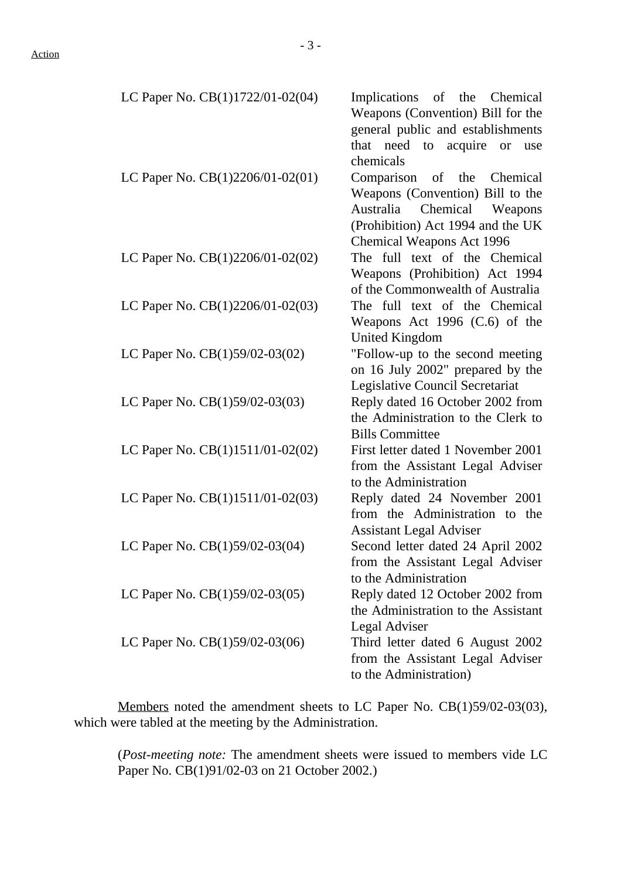LC Paper No.  $CB(1)1722/01-02(04)$  — Implications of the Chemical

|                                      | Weapons (Convention) Bill for the   |
|--------------------------------------|-------------------------------------|
|                                      | general public and establishments   |
|                                      | that need to acquire or<br>use      |
|                                      | chemicals                           |
| LC Paper No. $CB(1)2206/01-02(01)$ — | Comparison of the Chemical          |
|                                      | Weapons (Convention) Bill to the    |
|                                      | Chemical<br>Australia<br>Weapons    |
|                                      | (Prohibition) Act 1994 and the UK   |
|                                      | <b>Chemical Weapons Act 1996</b>    |
| LC Paper No. CB(1)2206/01-02(02) -   | The full text of the Chemical       |
|                                      | Weapons (Prohibition) Act 1994      |
|                                      | of the Commonwealth of Australia    |
| LC Paper No. $CB(1)2206/01-02(03)$ — | The full text of the Chemical       |
|                                      | Weapons Act 1996 (C.6) of the       |
|                                      | United Kingdom                      |
| LC Paper No. CB(1)59/02-03(02)       | "Follow-up to the second meeting    |
|                                      | on 16 July 2002" prepared by the    |
|                                      | Legislative Council Secretariat     |
| LC Paper No. CB(1)59/02-03(03)       | Reply dated 16 October 2002 from    |
|                                      | the Administration to the Clerk to  |
|                                      | <b>Bills Committee</b>              |
| LC Paper No. $CB(1)1511/01-02(02)$ — | First letter dated 1 November 2001  |
|                                      | from the Assistant Legal Adviser    |
|                                      | to the Administration               |
| LC Paper No. CB(1)1511/01-02(03) -   | Reply dated 24 November 2001        |
|                                      | from the Administration to the      |
|                                      | <b>Assistant Legal Adviser</b>      |
| LC Paper No. CB(1)59/02-03(04)       | Second letter dated 24 April 2002   |
|                                      | from the Assistant Legal Adviser    |
|                                      | to the Administration               |
| LC Paper No. CB(1)59/02-03(05)       | Reply dated 12 October 2002 from    |
|                                      | the Administration to the Assistant |
|                                      | Legal Adviser                       |
| LC Paper No. $CB(1)59/02-03(06)$     | Third letter dated 6 August 2002    |
|                                      | from the Assistant Legal Adviser    |
|                                      | to the Administration)              |
|                                      |                                     |

Members noted the amendment sheets to LC Paper No. CB(1)59/02-03(03), which were tabled at the meeting by the Administration.

(*Post-meeting note:* The amendment sheets were issued to members vide LC Paper No. CB(1)91/02-03 on 21 October 2002.)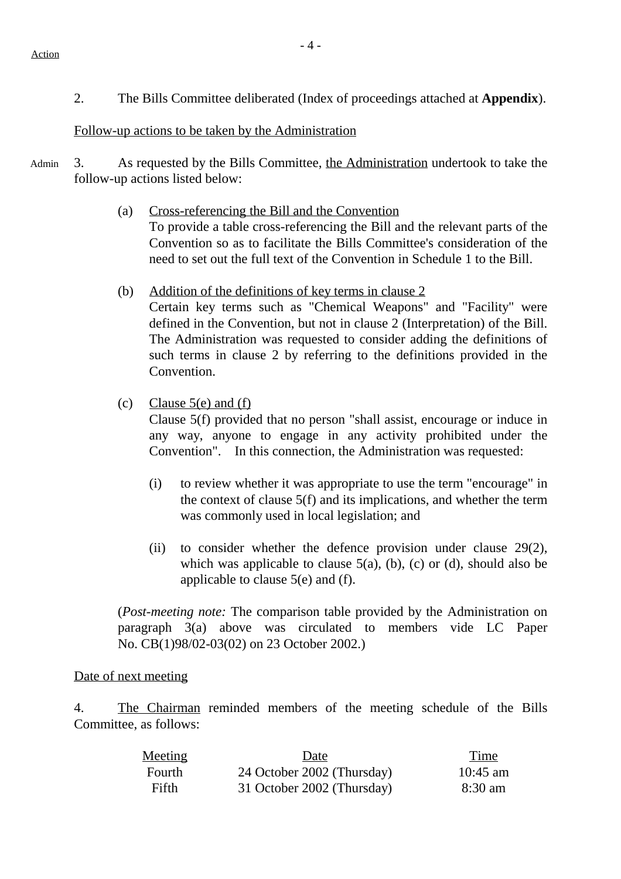2. The Bills Committee deliberated (Index of proceedings attached at **Appendix**).

#### Follow-up actions to be taken by the Administration

- Admin 3. As requested by the Bills Committee, the Administration undertook to take the follow-up actions listed below:
	- (a) Cross-referencing the Bill and the Convention To provide a table cross-referencing the Bill and the relevant parts of the Convention so as to facilitate the Bills Committee's consideration of the need to set out the full text of the Convention in Schedule 1 to the Bill.
	- (b) Addition of the definitions of key terms in clause 2 Certain key terms such as "Chemical Weapons" and "Facility" were defined in the Convention, but not in clause 2 (Interpretation) of the Bill. The Administration was requested to consider adding the definitions of such terms in clause 2 by referring to the definitions provided in the Convention.
	- (c) Clause  $5(e)$  and  $(f)$

Clause 5(f) provided that no person "shall assist, encourage or induce in any way, anyone to engage in any activity prohibited under the Convention". In this connection, the Administration was requested:

- (i) to review whether it was appropriate to use the term "encourage" in the context of clause 5(f) and its implications, and whether the term was commonly used in local legislation; and
- (ii) to consider whether the defence provision under clause 29(2), which was applicable to clause  $5(a)$ , (b), (c) or (d), should also be applicable to clause 5(e) and (f).

(*Post-meeting note:* The comparison table provided by the Administration on paragraph 3(a) above was circulated to members vide LC Paper No. CB(1)98/02-03(02) on 23 October 2002.)

#### Date of next meeting

4. The Chairman reminded members of the meeting schedule of the Bills Committee, as follows:

| Meeting | Date                       | Time       |
|---------|----------------------------|------------|
| Fourth  | 24 October 2002 (Thursday) | $10:45$ am |
| Fifth   | 31 October 2002 (Thursday) | 8:30 am    |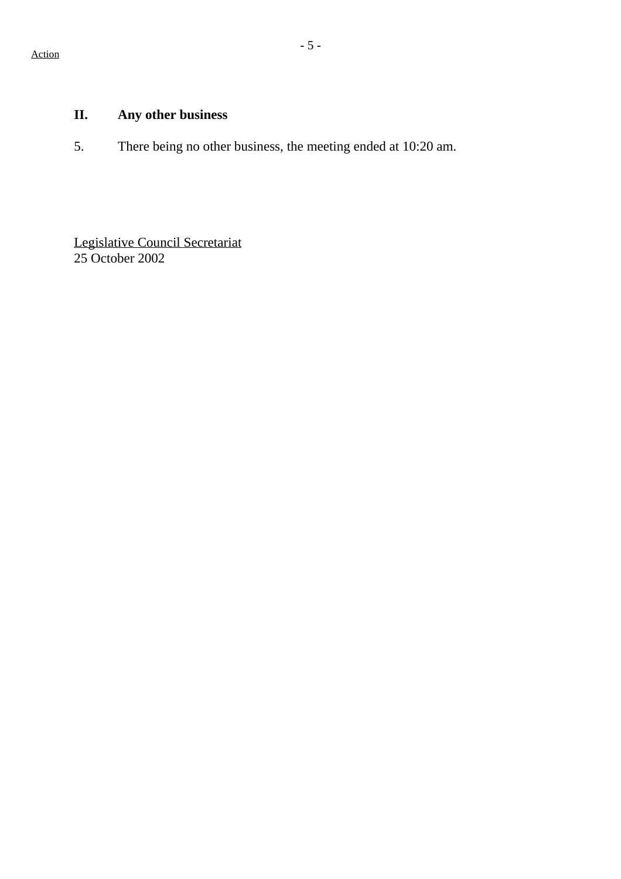# **II. Any other business**

5. There being no other business, the meeting ended at 10:20 am.

Legislative Council Secretariat 25 October 2002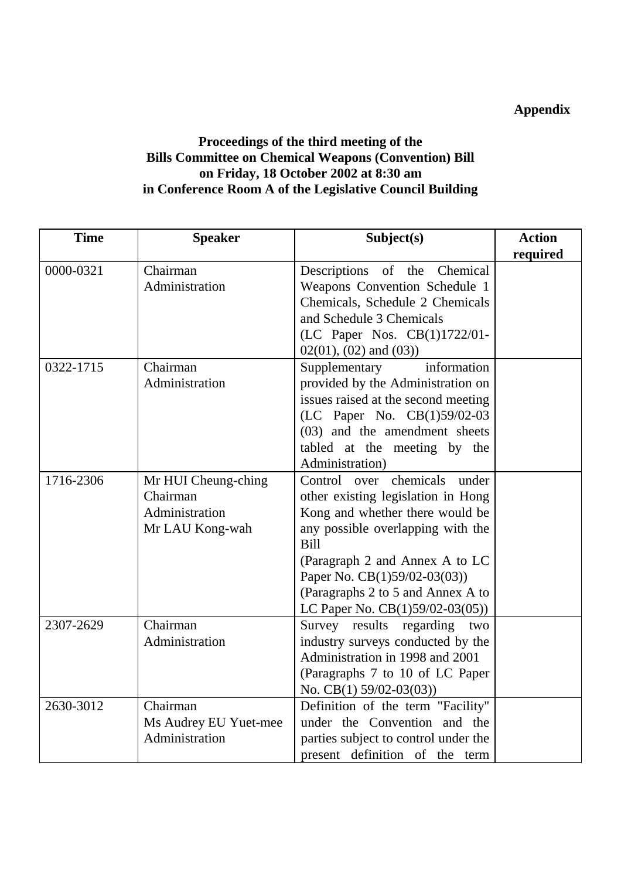## **Appendix**

## **Proceedings of the third meeting of the Bills Committee on Chemical Weapons (Convention) Bill on Friday, 18 October 2002 at 8:30 am in Conference Room A of the Legislative Council Building**

| <b>Time</b> | <b>Speaker</b>        | Subject(s)                           | <b>Action</b> |
|-------------|-----------------------|--------------------------------------|---------------|
|             |                       |                                      | required      |
| 0000-0321   | Chairman              | Descriptions of the Chemical         |               |
|             | Administration        | Weapons Convention Schedule 1        |               |
|             |                       | Chemicals, Schedule 2 Chemicals      |               |
|             |                       | and Schedule 3 Chemicals             |               |
|             |                       | (LC Paper Nos. CB(1)1722/01-         |               |
|             |                       | $02(01)$ , $(02)$ and $(03)$ )       |               |
| 0322-1715   | Chairman              | Supplementary<br>information         |               |
|             | Administration        | provided by the Administration on    |               |
|             |                       | issues raised at the second meeting  |               |
|             |                       | (LC Paper No. CB(1)59/02-03          |               |
|             |                       | (03) and the amendment sheets        |               |
|             |                       | tabled at the meeting by the         |               |
|             |                       | Administration)                      |               |
| 1716-2306   | Mr HUI Cheung-ching   | chemicals<br>Control over<br>under   |               |
|             | Chairman              | other existing legislation in Hong   |               |
|             | Administration        | Kong and whether there would be      |               |
|             | Mr LAU Kong-wah       | any possible overlapping with the    |               |
|             |                       | Bill                                 |               |
|             |                       | (Paragraph 2 and Annex A to LC       |               |
|             |                       | Paper No. CB(1)59/02-03(03))         |               |
|             |                       | (Paragraphs 2 to 5 and Annex A to    |               |
|             |                       | LC Paper No. $CB(1)59/02-03(05))$    |               |
| 2307-2629   | Chairman              | Survey results regarding two         |               |
|             | Administration        | industry surveys conducted by the    |               |
|             |                       | Administration in 1998 and 2001      |               |
|             |                       | (Paragraphs 7 to 10 of LC Paper      |               |
|             |                       | No. CB(1) $59/02-03(03)$             |               |
| 2630-3012   | Chairman              | Definition of the term "Facility"    |               |
|             | Ms Audrey EU Yuet-mee | under the Convention and the         |               |
|             | Administration        | parties subject to control under the |               |
|             |                       | present definition of the term       |               |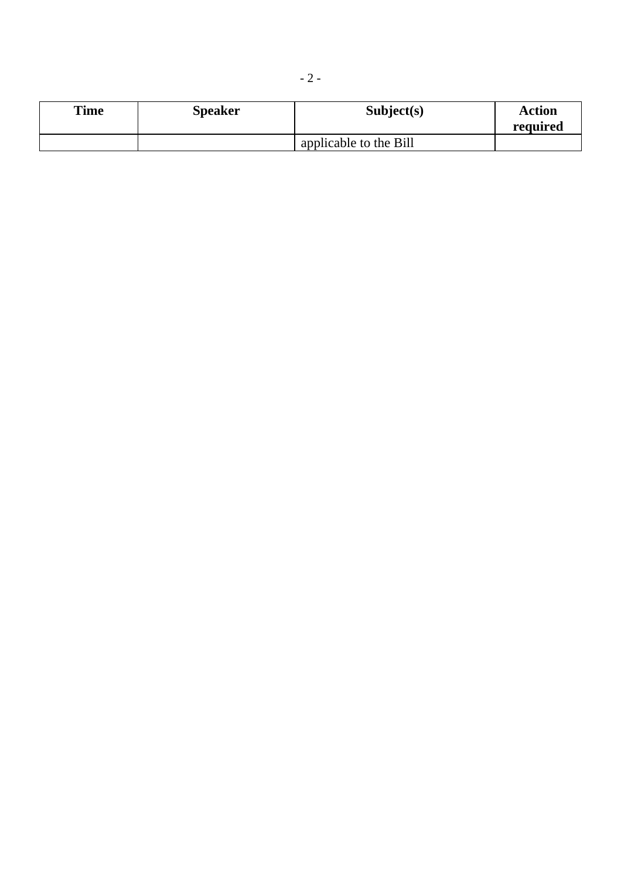| <b>Time</b> | <b>Speaker</b> | Subject(s)             | <b>Action</b> |
|-------------|----------------|------------------------|---------------|
|             |                |                        | required      |
|             |                | applicable to the Bill |               |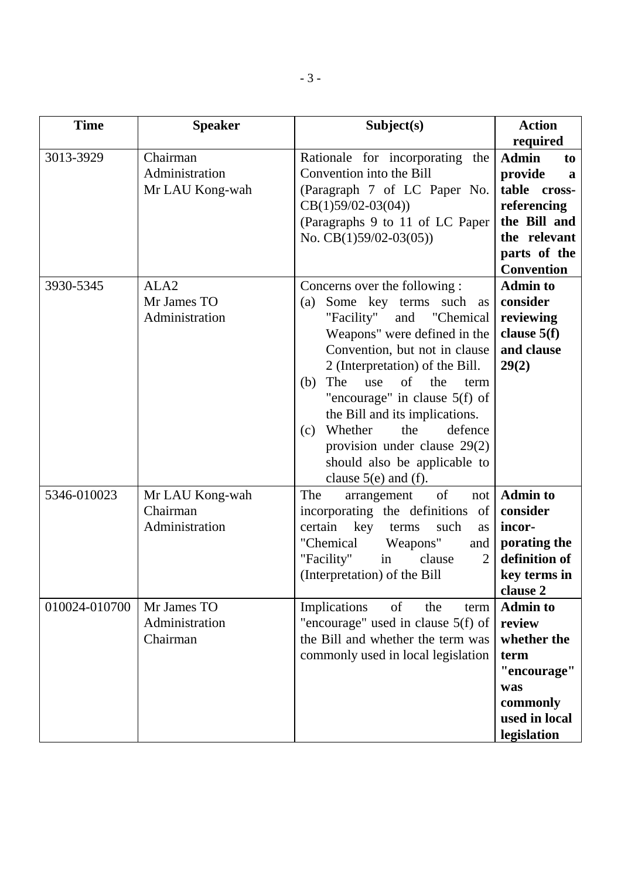| <b>Time</b>   | <b>Speaker</b>                                    | Subject(s)                                                                                                                                                                                                                                                                                                                                                                                                                                          | <b>Action</b><br>required                                                                                                              |
|---------------|---------------------------------------------------|-----------------------------------------------------------------------------------------------------------------------------------------------------------------------------------------------------------------------------------------------------------------------------------------------------------------------------------------------------------------------------------------------------------------------------------------------------|----------------------------------------------------------------------------------------------------------------------------------------|
| 3013-3929     | Chairman<br>Administration<br>Mr LAU Kong-wah     | Rationale for incorporating the<br>Convention into the Bill<br>(Paragraph 7 of LC Paper No.<br>$CB(1)59/02-03(04))$<br>(Paragraphs 9 to 11 of LC Paper<br>No. $CB(1)59/02-03(05)$                                                                                                                                                                                                                                                                   | <b>Admin</b><br>to<br>provide<br>a<br>table cross-<br>referencing<br>the Bill and<br>the relevant<br>parts of the<br><b>Convention</b> |
| 3930-5345     | ALA <sub>2</sub><br>Mr James TO<br>Administration | Concerns over the following :<br>Some key terms such<br>(a)<br>as<br>"Facility"<br>and "Chemical<br>Weapons" were defined in the<br>Convention, but not in clause<br>2 (Interpretation) of the Bill.<br>The<br>of<br>the<br>(b)<br>use<br>term<br>"encourage" in clause $5(f)$ of<br>the Bill and its implications.<br>Whether<br>defence<br>the<br>(c)<br>provision under clause $29(2)$<br>should also be applicable to<br>clause $5(e)$ and (f). | <b>Admin to</b><br>consider<br>reviewing<br>clause 5(f)<br>and clause<br>29(2)                                                         |
| 5346-010023   | Mr LAU Kong-wah<br>Chairman<br>Administration     | of<br>The<br>arrangement<br>not<br>incorporating the definitions<br>of<br>certain key<br>terms<br>such<br>as<br>"Chemical<br>Weapons"<br>and<br>"Facility"<br>in<br>clause<br>$\overline{2}$<br>(Interpretation) of the Bill                                                                                                                                                                                                                        | <b>Admin to</b><br>consider<br>incor-<br>porating the<br>definition of<br>key terms in<br>clause 2                                     |
| 010024-010700 | Mr James TO<br>Administration<br>Chairman         | Implications<br>of<br>the<br>term<br>"encourage" used in clause $5(f)$ of<br>the Bill and whether the term was<br>commonly used in local legislation                                                                                                                                                                                                                                                                                                | <b>Admin to</b><br>review<br>whether the<br>term<br>"encourage"<br>was<br>commonly<br>used in local<br>legislation                     |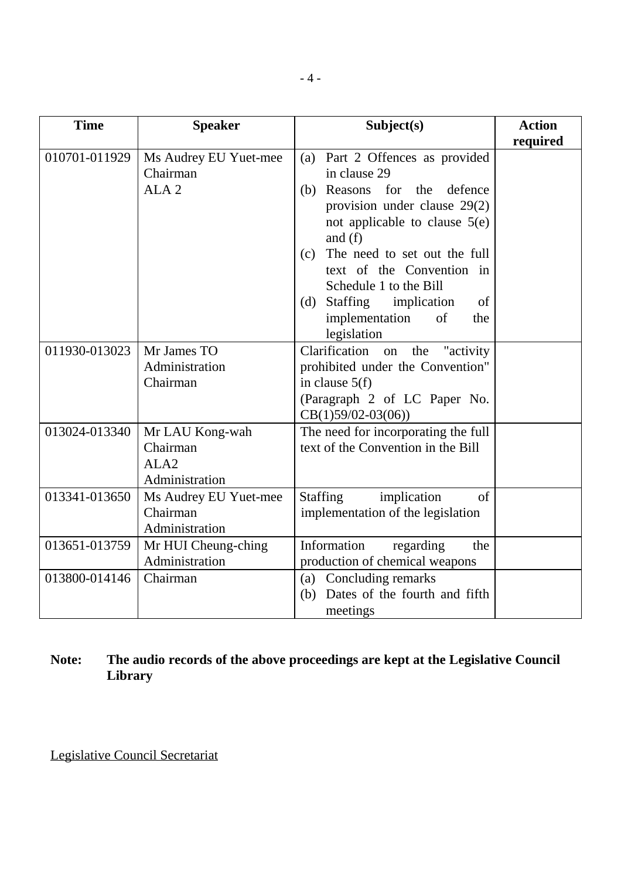| <b>Time</b>   | <b>Speaker</b>                                                    | Subject(s)                                                                                                                                                                                                                                                                                                                                                    | <b>Action</b><br>required |
|---------------|-------------------------------------------------------------------|---------------------------------------------------------------------------------------------------------------------------------------------------------------------------------------------------------------------------------------------------------------------------------------------------------------------------------------------------------------|---------------------------|
| 010701-011929 | Ms Audrey EU Yuet-mee<br>Chairman<br>ALA <sub>2</sub>             | Part 2 Offences as provided<br>(a)<br>in clause 29<br>for the<br>defence<br>Reasons<br>(b)<br>provision under clause $29(2)$<br>not applicable to clause $5(e)$<br>and $(f)$<br>The need to set out the full<br>(c)<br>text of the Convention in<br>Schedule 1 to the Bill<br>Staffing implication<br>(d)<br>of<br>implementation<br>of<br>the<br>legislation |                           |
| 011930-013023 | Mr James TO<br>Administration<br>Chairman                         | Clarification<br>"activity<br>the<br>on<br>prohibited under the Convention"<br>in clause $5(f)$<br>(Paragraph 2 of LC Paper No.<br>$CB(1)59/02-03(06))$                                                                                                                                                                                                       |                           |
| 013024-013340 | Mr LAU Kong-wah<br>Chairman<br>ALA <sub>2</sub><br>Administration | The need for incorporating the full<br>text of the Convention in the Bill                                                                                                                                                                                                                                                                                     |                           |
| 013341-013650 | Ms Audrey EU Yuet-mee<br>Chairman<br>Administration               | implication<br><b>Staffing</b><br>of<br>implementation of the legislation                                                                                                                                                                                                                                                                                     |                           |
| 013651-013759 | Mr HUI Cheung-ching<br>Administration                             | Information<br>regarding<br>the<br>production of chemical weapons                                                                                                                                                                                                                                                                                             |                           |
| 013800-014146 | Chairman                                                          | Concluding remarks<br>(a)<br>Dates of the fourth and fifth<br>(b)<br>meetings                                                                                                                                                                                                                                                                                 |                           |

# **Note: The audio records of the above proceedings are kept at the Legislative Council Library**

Legislative Council Secretariat